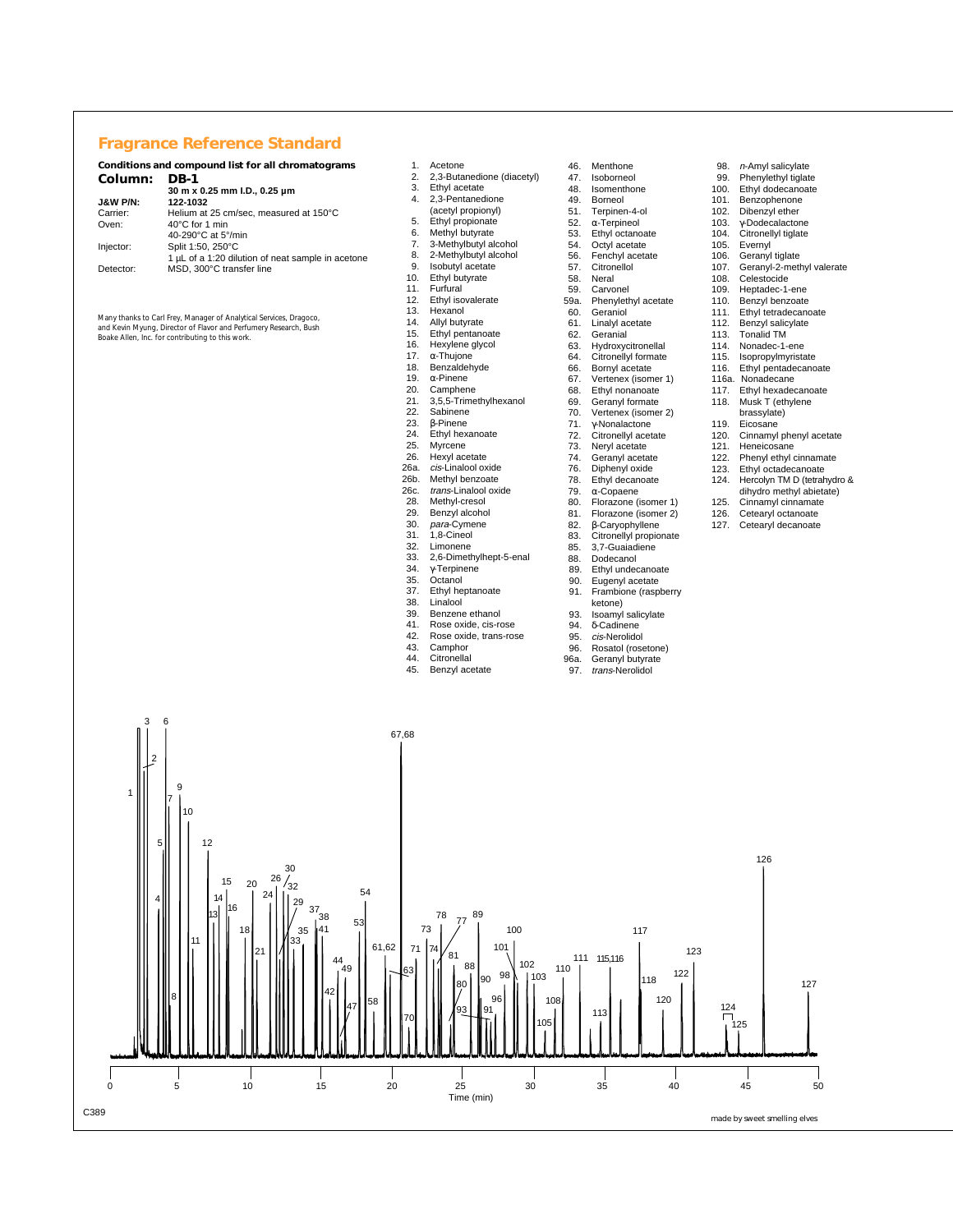## **Fragrance Reference Standard**

| Conditions and compound list for all chromatograms |                                                   |
|----------------------------------------------------|---------------------------------------------------|
| Column:                                            | <b>DB-1</b>                                       |
|                                                    | 30 m x 0.25 mm I.D., 0.25 um                      |
| <b>J&amp;W P/N:</b>                                | 122-1032                                          |
| Carrier:                                           | Helium at 25 cm/sec. measured at 150°C            |
| Oven:                                              | $40^{\circ}$ C for 1 min                          |
|                                                    | 40-290°C at 5°/min                                |
| Injector:                                          | Split 1:50, 250°C                                 |
|                                                    | 1 µL of a 1:20 dilution of neat sample in acetone |
| Detector:                                          | MSD. 300°C transfer line                          |
|                                                    |                                                   |

*Many thanks to Carl Frey, Manager of Analytical Services, Dragoco, and Kevin Myung, Director of Flavor and Perfumery Research, Bush Boake Allen, Inc. for contributing to this work.*

- 
- 1. Acetone<br>2. 2,3-Buta 2. 2,3-Butanedione (diacetyl)
- Ethyl acetate
- 4. 2,3-Pentanedione
- (acetyl propionyl)
- 5. Ethyl propionate<br>6. Methyl butyrate Methyl butyrate
- 7. 3-Methylbutyl alcohol<br>8. 2-Methylbutyl alcohol
- 8. 2-Methylbutyl alcohol
- Isobutyl acetate
- 10. Ethyl butyrate 11. Furfural
- 12. Ethyl isovalerate<br>13. Hexanol
- 13. Hexanol<br>14 Allyl hutv
- 
- 14. Allyl butyrate<br>15. Ethyl pentane 15. Ethyl pentanoate<br>16. Hexylene glycol
- 16. Hexylene glycol<br>17.  $\alpha$ -Thuione
- 17. α-Thujone
- 18. Benzaldehyde<br>19.  $\alpha$ -Pinene
- 19.  $α$ -Pinene<br>20. Camphen
- 20. Camphene 21. 3,5,5-Trimethylhexanol
- 
- 22. Sabinene<br>23. β-Pinene
- 23. β-Pinene
- 24. Ethyl hexanoate<br>25 Myrcene
- 25. Myrcene 26. Hexyl acetate
- 
- 26a. *cis*-Linalool oxide<br>26b. Methyl benzoate
- 26b. Methyl benzoate<br>26c. *trans*-Linalool oxi
- 26c. *trans*-Linalool oxide<br>28. Methyl-cresol 28. Methyl-cresol<br>29. Benzyl alcoho
- Benzyl alcohol
- 30. para-Cymene<br>31. 1,8-Cineol
- 31. 1,8-Cineol<br>32. Limonene
- 32. Limonene<br>33. 2,6-Dimet
- 33. 2,6-Dimethylhept-5-enal<br>34. x-Terpinene
- 34. γ-Terpinene 35. Octanol
- 37. Ethyl heptanoate<br>38. Linalool
- 38. Linalool<br>39 Benzene
- 39. Benzene ethanol<br>41. Rose oxide, cis-re
- 41. Rose oxide, cis-rose<br>42. Rose oxide, trans-rose 42. Rose oxide, trans-rose<br>43. Camphor
- 
- 43. Camphor<br>44. Citronellal 44. Citronellal<br>45. Benzyl ace
- Benzyl acetate
- 46. Menthone<br>47. Isoborneo 47. Isoborneol<br>48. Isomentho 48. Isomenthone **Borneol** 51. Terpinen-4-ol<br>52.  $\alpha$ -Terpineol 52. α-Terpineol 53. Ethyl octanoate<br>54 Octyl acetate 54. Octyl acetate 56. Fenchyl acetate 57. Citronellol<br>58. Neral 58. Neral<br>59 Carvo 59. Carvonel<br>59a. Phenvlet 59a. Phenylethyl acetate<br>60. Geraniol 60. Geraniol<br>61. Linalvl ac Linalyl acetate 62. Geranial<br>63. Hydroxyd 63. Hydroxycitronellal<br>64. Citronellyl formate 64. Citronellyl formate 66. Bornyl acetate<br>67. Vertenex (isom 67. Vertenex (isomer 1)<br>68. Ethyl nonanoate 68. Ethyl nonanoate<br>69. Geranvl formate
- Geranyl formate
- 
- 70. Vertenex (isomer 2) 71. γ-Nonalactone
- 72. Citronellyl acetate<br>73. Neryl acetate
- 73. Neryl acetate<br>74. Geranyl aceta
- 74. Geranyl acetate<br>76. Diphenyl oxide
- 76. Diphenyl oxide<br>78. Ethyl decanoate
- Ethyl decanoate
- 79. α-Copaene
- 80. Florazone (isomer 1)<br>81. Florazone (isomer 2) 81. Florazone (isomer 2)<br>82. β-Caryophyllene
- 82. β-Caryophyllene
- 83. Citronellyl propionate<br>85. 3.7-Guaiadiene
- 85. 3,7-Guaiadiene<br>88. Dodecanol
- 88. Dodecanol<br>89 Ethyl under
- Ethyl undecanoate
- 90. Eugenyl acetate 91. Frambione (raspberry
- ketone)
- 93. Isoamyl salicylate 94. δ-Cadinene
- 95. *cis*-Nerolidol<br>96 Rosatol (rose
- 96. Rosatol (rosetone)
- 96a. Geranyl butyrate
- 97. trans-Nerolidol
- 98. *n*-Amyl salicylate<br>99. Phenylethyl tiglate
- 
- 100. Ethyl dodecanoate<br>101. Benzophenone Benzophenone
- 
- 102. Dibenzyl ether<br>103. y-Dodecalactor
- 103. γ-Dodecalactone 104. Citronellyl tiglate
- 105. Evernyl 106. Geranyl tiglate
	-
- 107. Geranyl-2-methyl valerate<br>108. Celestocide
- 108. Celestocide<br>109 Hentadec-1-
- 109. Heptadec-1-ene<br>110. Benzyl benzoate 110. Benzyl benzoate<br>111. Ethyl tetradecan
- 111. Ethyl tetradecanoate<br>112. Benzyl salicylate
- Benzyl salicylate
- 113. Tonalid TM<br>114. Nonadec-1-
- 114. Nonadec-1-ene<br>115. Isopropylmyrista
- 115. Isopropylmyristate<br>116. Ethyl pentadecano
- Ethyl pentadecanoate
- 116a. Nonadecane<br>117. Ethyl hexaded
- 117. Ethyl hexadecanoate<br>118. Musk T (ethylene Musk T (ethylene
	- brassylate)
- 119. Eicosane<br>120. Cinnamyl
- 120. Cinnamyl phenyl acetate<br>121. Heneicosane
- 121. Heneicosane 122. Phenyl ethyl cinnamate
- 
- 123. Ethyl octadecanoate 124. Hercolyn TM D (tetrahydro &
	- dihydro methyl abietate)
- 125. Cinnamyl cinnamate<br>126. Cetearyl octanoate
- 126. Cetearyl octanoate<br>127. Cetearyl decanoate
	- Cetearyl decanoate